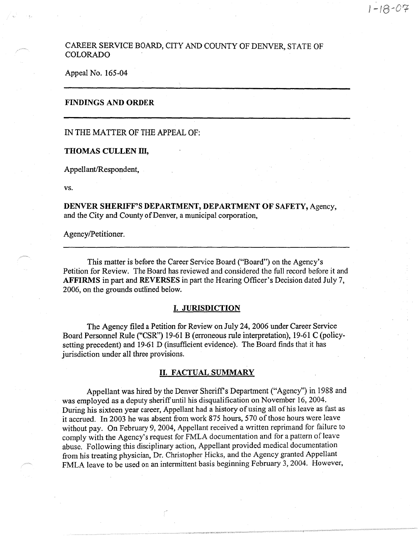# CAREER SERVICE BOARD, CITY AND COUNTY OF DENVER, STATE OF COLORADO

Appeal No. 165-04

## **FINDINGS AND ORDER**

## IN THE MATTER OF THE APPEAL OF:

#### **THOMAS CULLEN** III,

Appellant/Respondent,

vs.

**DENVER SHERIFF'S DEPARTMENT, DEPARTMENT OF SAFETY,** Agency, and the City and County of Denver, a municipal corporation,

Agency/Petitioner.

This matter is before the Career Service Board ("Board") on the Agency's Petition for Review. The Board has reviewed and considered the full record before it and **AFFIRMS** in part and **REVERSES** in part the Hearing Officer's Decision dated July 7, 2006, on the grounds outlined below.

#### I. **JURISDICTION**

The Agency filed a Petition for Review on July 24, 2006 under Career Service Board Personnel Rule ("CSR") 19-61 B (erroneous rule interpretation), 19-61 C (policysetting precedent) and 19-61 D (insufficient evidence). The Board finds that it has jurisdiction under all three provisions.

## II. **FACTUAL SUMMARY**

Appellant was hired by the Denver Sheriff's Department ("Agency") in 1988 and was employed as a deputy sheriff until his disqualification on November 16, 2004. During his sixteen year career, Appellant had a history of using all of his leave as fast as it accrued. In 2003 he was absent from work 875 hours, 570 of those hours were leave without pay. On February 9, 2004, Appellant received a written reprimand for failure to comply with the Agency's request for FMLA documentation and for a pattern of leave abuse. Following this disciplinary action, Appellant provided medical documentation from his treating physician, Dr. Christopher Hicks, and the Agency granted Appellant FMLA leave to be used on an intermittent basis beginning February 3, 2004. However,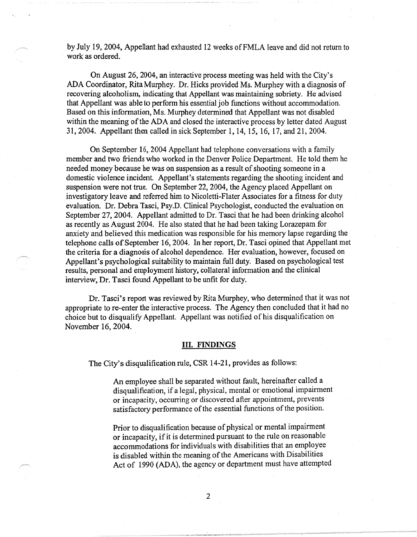by July 19, 2004, Appellant had exhausted 12 weeks ofFMLA leave and did not return to work as ordered.

On August 26, 2004, an interactive process meeting was held with the City's ADA Coordinator, Rita Murphey. Dr. Hicks provided Ms. Murphey with a diagnosis of recovering alcoholism, indicating that Appellant was maintaining sobriety. He advised that Appellant was able to perform his essential job functions without accommodation. Based on this information, Ms. Murphey determined that Appellant was not disabled within the meaning of the ADA and closed the interactive process by letter dated August 31, 2004. Appellant then called in sick September 1, 14, 15, 16, 17, and 21, 2004.

On September 16, 2004 Appellant had telephone conversations with a family member and two friends who worked in the Denver Police Department. He told them he needed money because he was on suspension as a result of shooting someone in a domestic violence incident. Appellant's statements regarding the shooting incident and suspension were not true. On September 22, 2004, the Agency placed Appellant on investigatory leave and referred him to Nicoletti-Flater Associates for a fitness for duty evaluation. Dr. Debra Tasci, Psy.D. Clinical Psychologist, conducted the evaluation on September 27, 2004. Appellant admitted to Dr. Tasci that he had been drinking alcohol as recently as August 2004. He also stated that he had been taking Lorazepam for anxiety and believed this medication was responsible for his memory lapse regarding the telephone calls of September 16, 2004. In her report, Dr. Tasci opined that Appellant met the criteria for a diagnosis of alcohol dependence. Her evaluation, however, focused on Appellant's psychological suitability to maintain full duty. Based on psychological test results, personal and employment history, collateral information and the clinical interview, Dr. Tasci found Appellant to be unfit for duty.

Dr. Tasci's report was reviewed by Rita Murphey, who determined that it was not appropriate to re-enter the interactive process. The Agency then concluded that it had no choice but to disqualify Appellant. Appellant was notified of his disqualification on November 16, 2004.

## III. **FINDINGS**

The City's disqualification rule, CSR 14-21, provides as follows:

An employee shall be separated without fault, hereinafter called a disqualification, if a legal, physical, mental or emotional impairment or incapacity, occurring or discovered after appointment, prevents satisfactory performance of the essential functions of the position.

Prior to disqualification because of physical or mental impairment or incapacity, if it is determined pursuant to the rule on reasonable accommodations for individuals with disabilities that an employee is disabled within the meaning of the Americans with Disabilities Act of 1990 (ADA), the agency or department must have attempted

2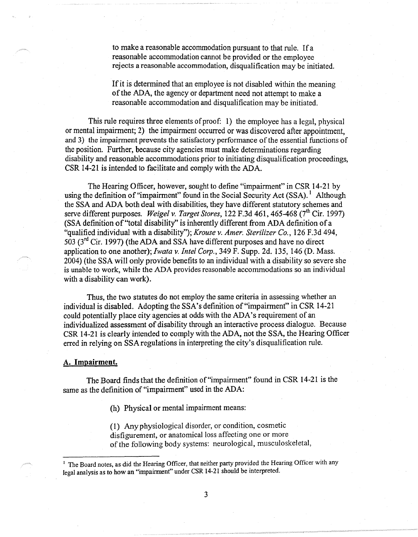to make a reasonable accommodation pursuant to that rule. If a reasonable accommodation cannot be provided or the employee rejects a reasonable accommodation, disqualification may be initiated.

If it is determined that an employee is not disabled within the meaning of the ADA, the agency or department need not attempt to make a reasonable accommodation and disqualification may be initiated.

This rule requires three elements of proof: 1) the employee has a legal, physical or mental impairment; 2) the impairment occurred or was discovered after appointment, and 3) the impairment prevents the satisfactory performance of the essential functions of the position. Further, because city agencies must make determinations regarding disability and reasonable accommodations prior to initiating disqualification proceedings, CSR 14-21 is intended to facilitate and comply with the ADA.

The Hearing Officer, however, sought to define "impairment" in CSR 14-21 by using the definition of "impairment" found in the Social Security Act (SSA).<sup>1</sup> Although the SSA and ADA both deal with disabilities, they have different statutory schemes and serve different purposes. *Weigel v. Target Stores*, 122 F.3d 461, 465-468 (7<sup>th</sup> Cir. 1997) (SSA definition of "total disability'' is inherently different from ADA definition of a "qualified individual with a disability"); *Krouse v. Amer. Sterilizer Co.,* 126 F.3d 494, 503 (3rd Cir. 1997) (the ADA and SSA have different purposes and have no direct application to one another); *Iwata v. Intel Corp.,* 349 F. Supp. 2d. 135, 146 (D. Mass. 2004) (the SSA will only provide benefits to an individual with a disability so severe she is unable to work, while the ADA provides reasonable accommodations so an individual with a disability can work).

Thus, the two statutes do not employ the same criteria in assessing whether an individual is disabled. Adopting the SSA's definition of "impairment" in CSR 14-21 could potentially place city agencies at odds with the ADA's requirement of an individualized assessment of disability through an interactive process dialogue. Because CSR 14-21 is clearly intended to comply with the ADA, not the SSA, the Hearing Officer erred in relying on SSA regulations in interpreting the city's disqualification rule.

#### **A. Impairment.**

The Board finds that the definition of "impairment" found in CSR 14-21 is the same as the definition of "impairment" used in the ADA:

(h) Physical or mental impairment means:

( 1) Any physiological disorder, or condition, cosmetic disfigurement, or anatomical loss affecting one or more of the following body systems: neurological, musculoskeletal,

<sup>&</sup>lt;sup>1</sup> The Board notes, as did the Hearing Officer, that neither party provided the Hearing Officer with any legal analysis as to how an "impairment" under CSR 14-21 should be interpreted.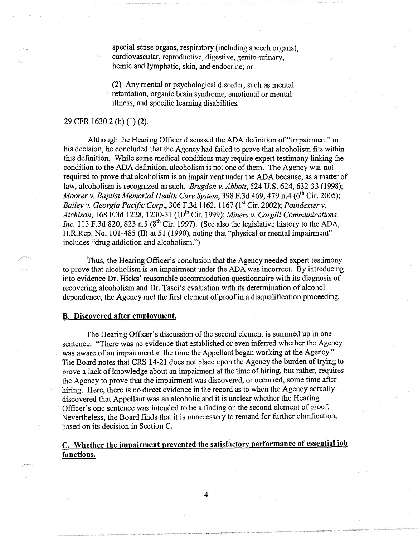special sense organs, respiratory (including speech organs), cardiovascular, reproductive, digestive, genito-urinary, hemic and lymphatic, skin, and endocrine; or

(2) Any mental or psychological disorder, such as mental retardation, organic brain syndrome, emotional or mental illness, and specific learning disabilities.

## 29 CFR 1630.2 (h) (1) (2).

Although the Hearing Officer discussed the ADA definition of "impairment" in his decision, he concluded that the Agency had failed to prove that alcoholism fits within this definition. While some medical conditions may require expert testimony linking the condition to the ADA definition, alcoholism is not one of them. The Agency was not required to prove that alcoholism is an impairment under the ADA because, as a matter of law, alcoholism is recognized as such. *Bragdon v. Abbott,* 524 U.S. 624, 632-33 (1998); *Moorer v. Baptist Memorial Health Care System, 398 F.3d 469, 479 n.4 (6<sup>th</sup> Cir. 2005); Bailey* v. *Georgia Pacific Corp.,* 306 F.3d 1162, 1167 (1st Cir. 2002); *Poindexter* v. *Atchison, 168 F.3d 1228, 1230-31 (10<sup>th</sup> Cir. 1999); Miners v. Cargill Communications, Inc.* 113 F.3d 820, 823 n.5 (8<sup>th</sup> Cir. 1997). (See also the legislative history to the ADA, H.R.Rep. No. 101-485 (II) at 51 (1990), noting that "physical or mental impairment" includes "drug addiction and alcoholism.")

Thus, the Hearing Officer's conclusion that the Agency needed expert testimony to prove that alcoholism is an impairment under the ADA was incorrect. By introducing into evidence Dr. Hicks' reasonable accommodation questionnaire with its diagnosis of recovering alcoholism and Dr. Tasci's evaluation with its determination of alcohol dependence, the Agency met the first element of proof in a disqualification proceeding.

## **B. Discovered after employment.**

The Hearing Officer's discussion of the second element is summed up in one sentence: "There was no evidence that established or even inferred whether the Agency was aware of an impairment at the time the Appellant began working at the Agency." The Board notes that CRS 14-21 does not place upon the Agency the burden of trying to prove a lack of knowledge about an impairment at the time of hiring, but rather, requires the Agency to prove that the impairment was discovered, or occurred, some time after hiring. Here, there is no direct evidence in the record as to when the Agency actually discovered that Appellant was an alcoholic and it is unclear whether the Hearing Officer's one sentence was intended to be a finding on the second element of proof. Nevertheless, the Board finds that it is unnecessary to remand for further clarification, based on its decision in Section C.

# **C. Whether the impairment prevented the satisfactorv performance of essential job functions.**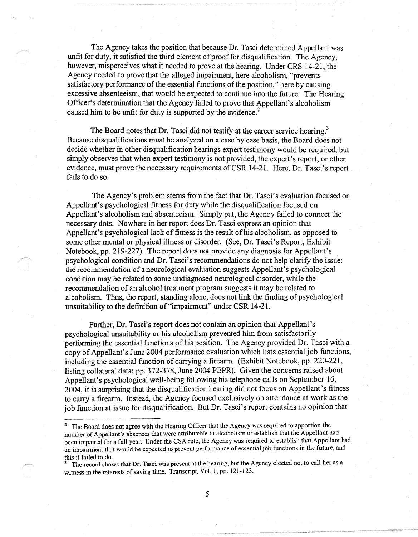The Agency takes the position that because Dr. Tasci determined Appellant was unfit for duty, it satisfied the third element of proof for disqualification. The Agency, however, misperceives what it needed to prove at the hearing. Under CRS 14-21, the Agency needed to prove that the alleged impairment, here alcoholism, "prevents satisfactory performance of the essential functions of the position," here by causing excessive absenteeism, that would be expected to continue into the future. The Hearing Officer's determination that the Agency failed to prove that Appellant's alcoholism caused him to be unfit for duty is supported by the evidence.<sup>2</sup>

The Board notes that Dr. Tasci did not testify at the career service hearing.<sup>3</sup> Because disqualifications must be analyzed on a case by case basis, the Board does not decide whether in other disqualification hearings expert testimony would be required, but simply observes that when expert testimony is not provided, the expert's report, or other evidence, must prove the necessary requirements of CSR 14-21. Here, Dr. Tasci's report fails to do so.

The Agency's problem stems from the fact that Dr. Tasci's evaluation focused on Appellant's psychological fitness for duty while the disqualification focused on Appellant's alcoholism and absenteeism. Simply put, the Agency failed to connect the necessary dots. Nowhere in her report does Dr. Tasci express an opinion that Appellant's psychological lack of fitness is the result of his alcoholism, as opposed to some other mental or physical illness or disorder. (See, Dr. Tasci's Report, Exhibit Notebook, pp. 219-227). The report does not provide any diagnosis for Appellant's psychological condition and Dr. Tasci's recommendations do not help clarify the issue: the recommendation of a neurological evaluation suggests Appellant's psychological condition may be related to some undiagnosed neurological disorder, while the recommendation of an alcohol treatment program suggests it may be related to alcoholism. Thus, the report, standing alone, does not link the finding of psychological unsuitability to the definition of"impairment" under CSR 14-21.

Further, Dr. Tasci's report does not contain an opinion that Appellant's psychological unsuitability or his alcoholism prevented him from satisfactorily performing the essential functions of his position. The Agency provided Dr. Tasci with a copy of Appellant's June 2004 performance evaluation which lists essential job functions, including the essential function of carrying a firearm. (Exhibit Notebook, pp. 220-221, listing collateral data; pp. 372-378, June 2004 PEPR). Given the concerns raised about Appellant's psychological well-being following his telephone calls on September 16, 2004, it is surprising that the disqualification hearing did not focus on Appellant's fitness to carry a firearm. Instead, the Agency focused exclusively on attendance at work as the job function at issue for disqualification. But Dr. Tasci's report contains no opinion that

<sup>&</sup>lt;sup>2</sup> The Board does not agree with the Hearing Officer that the Agency was required to apportion the number of Appellant's absences that were attributable to alcoholism or establish that the Appellant had been impaired for a full year. Under the CSA rule, the Agency was required to establish that Appellant had an impairment that would be expected to prevent performance of essential job functions in the future, and this it failed to do.

The record shows that Dr. Tasci was present at the hearing, but the Agency elected not to call her as a witness in the interests of saving time. Transcript, Vol. 1, pp. 121-123.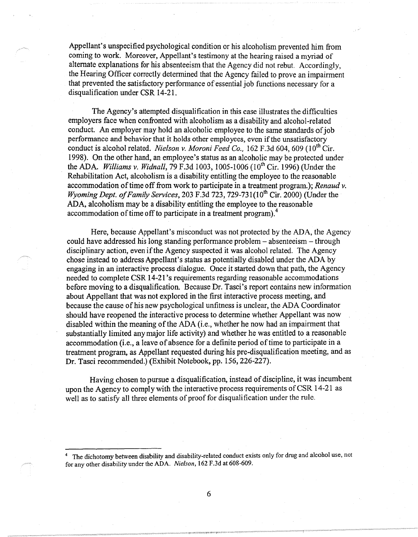Appellant's unspecified psychological condition or his alcoholism prevented him from coming to work. Moreover, Appellant's testimony at the hearing raised a myriad of alternate explanations for his absenteeism that the Agency did not rebut. Accordingly, the Hearing Officer correctly determined that the Agency failed to prove an impairment that prevented the satisfactory performance of essential job functions necessary for a disqualification under CSR 14-21.

The Agency's attempted disqualification in this case illustrates the difficulties employers face when confronted with alcoholism as a disability and alcohol-related conduct. An employer may hold an alcoholic employee to the same standards of job performance and behavior that it holds other employees, even if the unsatisfactory conduct is alcohol related. *Nielson v. Moroni Feed Co.*, 162 F.3d 604, 609 (10<sup>th</sup> Cir. 1998). On the other hand, an employee's status as an alcoholic may be protected under the ADA. *Williams v. Widnall*, 79 F.3d 1003, 1005-1006 (10<sup>th</sup> Cir. 1996) (Under the Rehabilitation Act, alcoholism is a disability entitling the employee to the reasonable accommodation of time off from work to participate in a treatment program.); *Renaud v. Wyoming Dept. of Family Services, 203 F.3d 723, 729-731(10<sup>th</sup> Cir. 2000)* (Under the ADA, alcoholism may be a disability entitling the employee to the reasonable accommodation of time off to participate in a treatment program).<sup>4</sup>

Here, because Appellant's misconduct was not protected by the ADA, the Agency could have addressed his long standing performance problem - absenteeism - through disciplinary action, even if the Agency suspected it was alcohol related. The Agency chose instead to address Appellant's status as potentially disabled under the ADA by engaging in an interactive process dialogue. Once it started down that path, the Agency needed to complete CSR 14-21 's requirements regarding reasonable accommodations before moving to a disqualification. Because Dr. Tasci's report contains new information about Appellant that was not explored in the first interactive process meeting, and because the cause of his new psychological unfitness is unclear, the ADA Coordinator should have reopened the interactive process to determine whether Appellant was now disabled within the meaning of the ADA (i.e., whether he now had an impairment that substantially limited any major life activity) and whether he was entitled to a reasonable accommodation (i.e., a leave of absence for a definite period of time to participate in a treatment program, as Appellant requested during his pre-disqualification meeting, and as Dr. Tasci recommended.) (Exhibit Notebook, pp. 156, 226-227).

Having chosen to pursue a disqualification, instead of discipline, it was incumbent upon the Agency to comply with the interactive process requirements of CSR 14-21 as well as to satisfy all three elements of proof for disqualification under the rule.

The dichotomy between disability and disability-related conduct exists only for drug and alcohol use, not for any other disability under the ADA. *Nielson,* 162 F.3d at 608-609.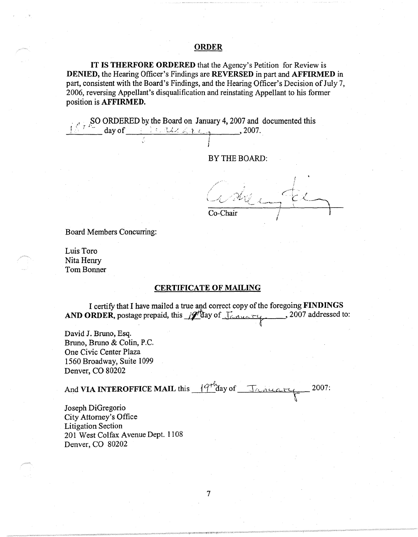## **ORDER**

**IT IS THERFORE ORDERED** that the Agency's Petition for Review is **DENIED,** the Hearing Officer's Findings are **REVERSED** in part and **AFFIRMED** in part, consistent with the Board's Findings, and the Hearing Officer's Decision of July 7, 2006, reversing Appellant's disqualification and reinstating Appellant to his former position is **AFFIRMED.** 

> j I

, SO ORDERED by the Board on January 4, 2007 and documented this *i* <sup>2007</sup>  $\frac{1}{2}$  <sup>1.</sup> day of  $\frac{1}{2}$  in the Let  $\frac{1}{2}$  1.

BY THE BOARD:

Co-Chair

Board Members Concurring:

Luis Toro Nita Henry Tom Bonner

## **CERTIFICATE OF MAILING**

I certify that I have mailed a true and correct copy of the foregoing **FINDINGS AND ORDER,** postage prepaid, this  $\mathscr{A}^{\text{H}}$  and  $\mathscr{A}^{\text{H}}$  and  $\mathscr{A}^{\text{H}}$  . 2007 addressed to:

David J. Bruno, Esq. Bruno, Bruno & Colin, P.C. One Civic Center Plaza 1560 Broadway, Suite 1099 Denver, CO 80202

And **VIA INTEROFFICE MAIL** this  $\frac{19^{+\ell}}{4}$  day of Trinicary 2007:

Joseph DiGregorio City Attorney's Office Litigation Section 201 West Colfax Avenue Dept. 1108 Denver, CO 80202

7